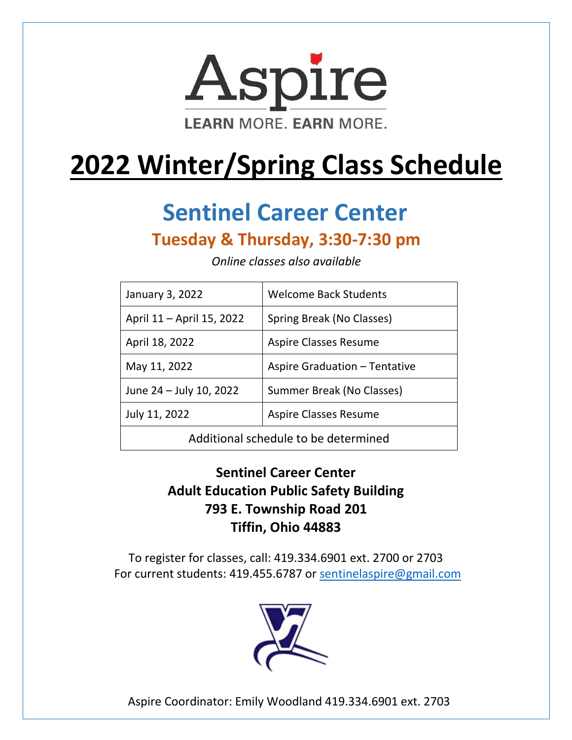

# **2022 Winter/Spring Class Schedule**

# **Sentinel Career Center**

### **Tuesday & Thursday, 3:30-7:30 pm**

| January 3, 2022                      | <b>Welcome Back Students</b>  |
|--------------------------------------|-------------------------------|
| April 11 – April 15, 2022            | Spring Break (No Classes)     |
| April 18, 2022                       | <b>Aspire Classes Resume</b>  |
| May 11, 2022                         | Aspire Graduation - Tentative |
| June 24 - July 10, 2022              | Summer Break (No Classes)     |
| July 11, 2022                        | <b>Aspire Classes Resume</b>  |
| Additional schedule to be determined |                               |

*Online classes also available*

### **Sentinel Career Center Adult Education Public Safety Building 793 E. Township Road 201 Tiffin, Ohio 44883**

To register for classes, call: 419.334.6901 ext. 2700 or 2703 For current students: 419.455.6787 or [sentinelaspire@gmail.com](mailto:sentinelaspire@gmail.com)



Aspire Coordinator: Emily Woodland 419.334.6901 ext. 2703